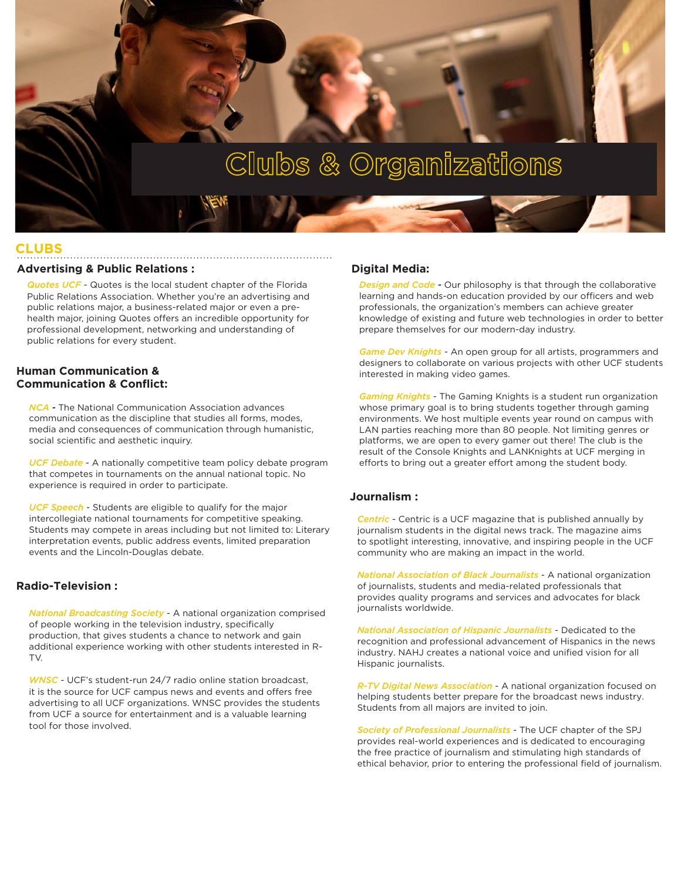# Clubs & Organizations

### **CLUBS**

#### **Advertising & Public Relations :**

*Quotes UCF* - Quotes is the local student chapter of the Florida Public Relations Association. Whether you're an advertising and public relations major, a business-related major or even a prehealth major, joining Quotes offers an incredible opportunity for professional development, networking and understanding of public relations for every student.

#### **Human Communication & Communication & Conflict:**

*NCA -* The National Communication Association advances communication as the discipline that studies all forms, modes, media and consequences of communication through humanistic, social scientific and aesthetic inquiry.

*UCF Debate* - A nationally competitive team policy debate program that competes in tournaments on the annual national topic. No experience is required in order to participate.

*UCF Speech* - Students are eligible to qualify for the major intercollegiate national tournaments for competitive speaking. Students may compete in areas including but not limited to: Literary interpretation events, public address events, limited preparation events and the Lincoln-Douglas debate.

#### **Radio-Television :**

*National Broadcasting Society* - A national organization comprised of people working in the television industry, specifically production, that gives students a chance to network and gain additional experience working with other students interested in R-TV.

*WNSC* - UCF's student-run 24/7 radio online station broadcast, it is the source for UCF campus news and events and offers free advertising to all UCF organizations. WNSC provides the students from UCF a source for entertainment and is a valuable learning tool for those involved.

#### **Digital Media:**

*Design and Code -* Our philosophy is that through the collaborative learning and hands-on education provided by our officers and web professionals, the organization's members can achieve greater knowledge of existing and future web technologies in order to better prepare themselves for our modern-day industry.

*Game Dev Knights* - An open group for all artists, programmers and designers to collaborate on various projects with other UCF students interested in making video games.

*Gaming Knights* - The Gaming Knights is a student run organization whose primary goal is to bring students together through gaming environments. We host multiple events year round on campus with LAN parties reaching more than 80 people. Not limiting genres or platforms, we are open to every gamer out there! The club is the result of the Console Knights and LANKnights at UCF merging in efforts to bring out a greater effort among the student body.

#### **Journalism :**

*Centric* - Centric is a UCF magazine that is published annually by journalism students in the digital news track. The magazine aims to spotlight interesting, innovative, and inspiring people in the UCF community who are making an impact in the world.

*National Association of Black Journalists* - A national organization of journalists, students and media-related professionals that provides quality programs and services and advocates for black journalists worldwide.

*National Association of Hispanic Journalists* - Dedicated to the recognition and professional advancement of Hispanics in the news industry. NAHJ creates a national voice and unified vision for all Hispanic journalists.

*R-TV Digital News Association* - A national organization focused on helping students better prepare for the broadcast news industry. Students from all majors are invited to join.

*Society of Professional Journalists* - The UCF chapter of the SPJ provides real-world experiences and is dedicated to encouraging the free practice of journalism and stimulating high standards of ethical behavior, prior to entering the professional field of journalism.